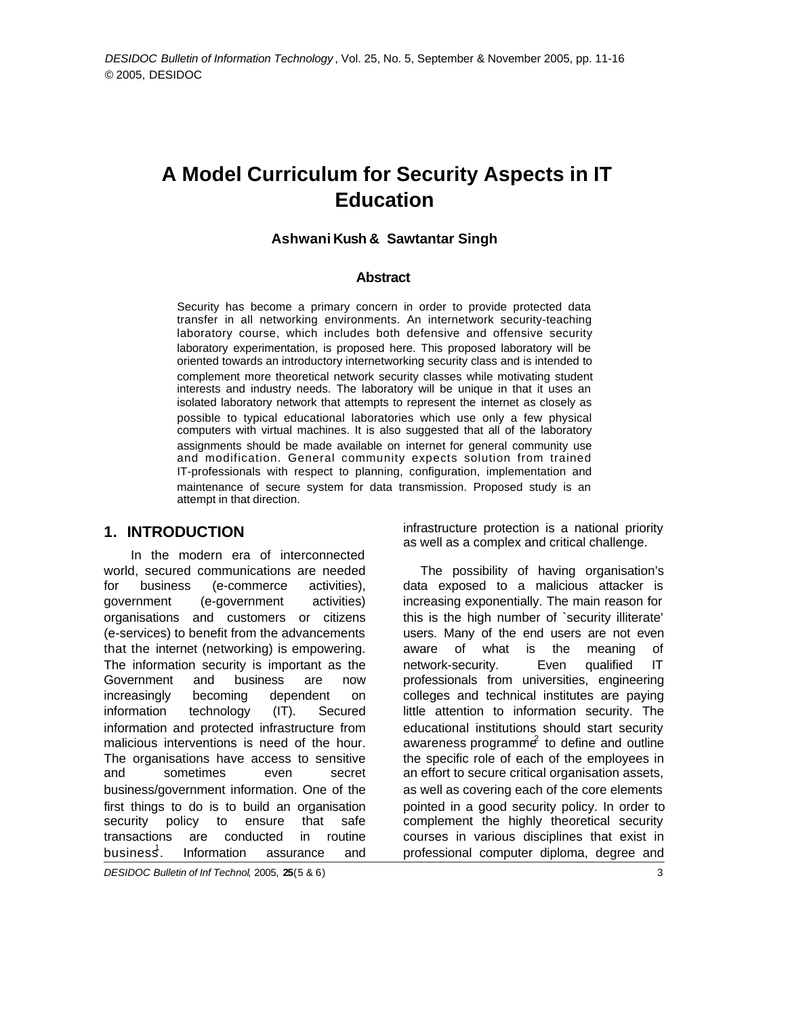# **A Model Curriculum for Security Aspects in IT Education**

#### **Ashwani Kush & Sawtantar Singh**

#### **Abstract**

Security has become a primary concern in order to provide protected data transfer in all networking environments. An internetwork security-teaching laboratory course, which includes both defensive and offensive security laboratory experimentation, is proposed here. This proposed laboratory will be oriented towards an introductory internetworking security class and is intended to complement more theoretical network security classes while motivating student interests and industry needs. The laboratory will be unique in that it uses an isolated laboratory network that attempts to represent the internet as closely as possible to typical educational laboratories which use only a few physical computers with virtual machines. It is also suggested that all of the laboratory assignments should be made available on internet for general community use and modification. General community expects solution from trained IT-professionals with respect to planning, configuration, implementation and maintenance of secure system for data transmission. Proposed study is an attempt in that direction.

#### **1. INTRODUCTION**

 In the modern era of interconnected world, secured communications are needed for business (e-commerce activities), government (e-government activities) organisations and customers or citizens (e-services) to benefit from the advancements that the internet (networking) is empowering. The information security is important as the Government and business are now increasingly becoming dependent on information technology (IT). Secured information and protected infrastructure from malicious interventions is need of the hour. The organisations have access to sensitive and sometimes even secret business/government information. One of the first things to do is to build an organisation security policy to ensure that safe transactions are conducted in routine  $busines<sup>1</sup>$ . . Information assurance and infrastructure protection is a national priority as well as a complex and critical challenge.

The possibility of having organisation's data exposed to a malicious attacker is increasing exponentially. The main reason for this is the high number of `security illiterate' users. Many of the end users are not even aware of what is the meaning of network-security. Even qualified IT professionals from universities, engineering colleges and technical institutes are paying little attention to information security. The educational institutions should start security awareness programme $\epsilon$  to define and outline the specific role of each of the employees in an effort to secure critical organisation assets, as well as covering each of the core elements pointed in a good security policy. In order to complement the highly theoretical security courses in various disciplines that exist in professional computer diploma, degree and

*DESIDOC Bulletin of Inf Technol*, 2005, **25**(5 & 6) 3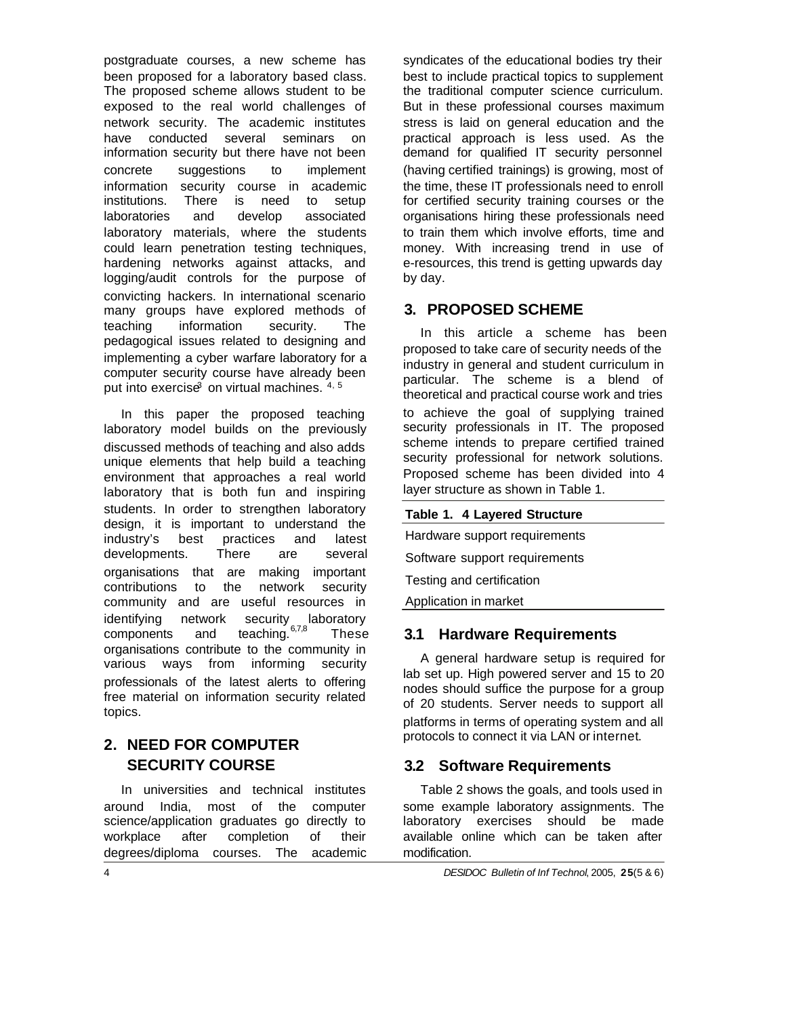postgraduate courses, a new scheme has been proposed for a laboratory based class. The proposed scheme allows student to be exposed to the real world challenges of network security. The academic institutes have conducted several seminars on information security but there have not been concrete suggestions to implement information security course in academic institutions. There is need to setup laboratories and develop associated laboratory materials, where the students could learn penetration testing techniques, hardening networks against attacks, and logging/audit controls for the purpose of convicting hackers. In international scenario many groups have explored methods of teaching information security. The pedagogical issues related to designing and implementing a cyber warfare laboratory for a computer security course have already been put into exercise3 on virtual machines. 4, 5

In this paper the proposed teaching laboratory model builds on the previously discussed methods of teaching and also adds unique elements that help build a teaching environment that approaches a real world laboratory that is both fun and inspiring students. In order to strengthen laboratory design, it is important to understand the industry's best practices and latest developments. There are several organisations that are making important contributions to the network security community and are useful resources in identifying network security laboratory components and teaching. 67,8 These organisations contribute to the community in various ways from informing security professionals of the latest alerts to offering free material on information security related topics.

# **2. NEED FOR COMPUTER SECURITY COURSE**

In universities and technical institutes around India, most of the computer science/application graduates go directly to workplace after completion of their degrees/diploma courses. The academic syndicates of the educational bodies try their best to include practical topics to supplement the traditional computer science curriculum. But in these professional courses maximum stress is laid on general education and the practical approach is less used. As the demand for qualified IT security personnel (having certified trainings) is growing, most of the time, these IT professionals need to enroll for certified security training courses or the organisations hiring these professionals need to train them which involve efforts, time and money. With increasing trend in use of e-resources, this trend is getting upwards day by day.

## **3. PROPOSED SCHEME**

In this article a scheme has been proposed to take care of security needs of the industry in general and student curriculum in particular. The scheme is a blend of theoretical and practical course work and tries to achieve the goal of supplying trained security professionals in IT. The proposed scheme intends to prepare certified trained security professional for network solutions. Proposed scheme has been divided into 4 layer structure as shown in Table 1.

#### **Table 1. 4 Layered Structure**

Hardware support requirements

Software support requirements

Testing and certification

Application in market

#### **3.1 Hardware Requirements**

A general hardware setup is required for lab set up. High powered server and 15 to 20 nodes should suffice the purpose for a group of 20 students. Server needs to support all platforms in terms of operating system and all protocols to connect it via LAN or internet.

### **3.2 Software Requirements**

Table 2 shows the goals, and tools used in some example laboratory assignments. The laboratory exercises should be made available online which can be taken after modification.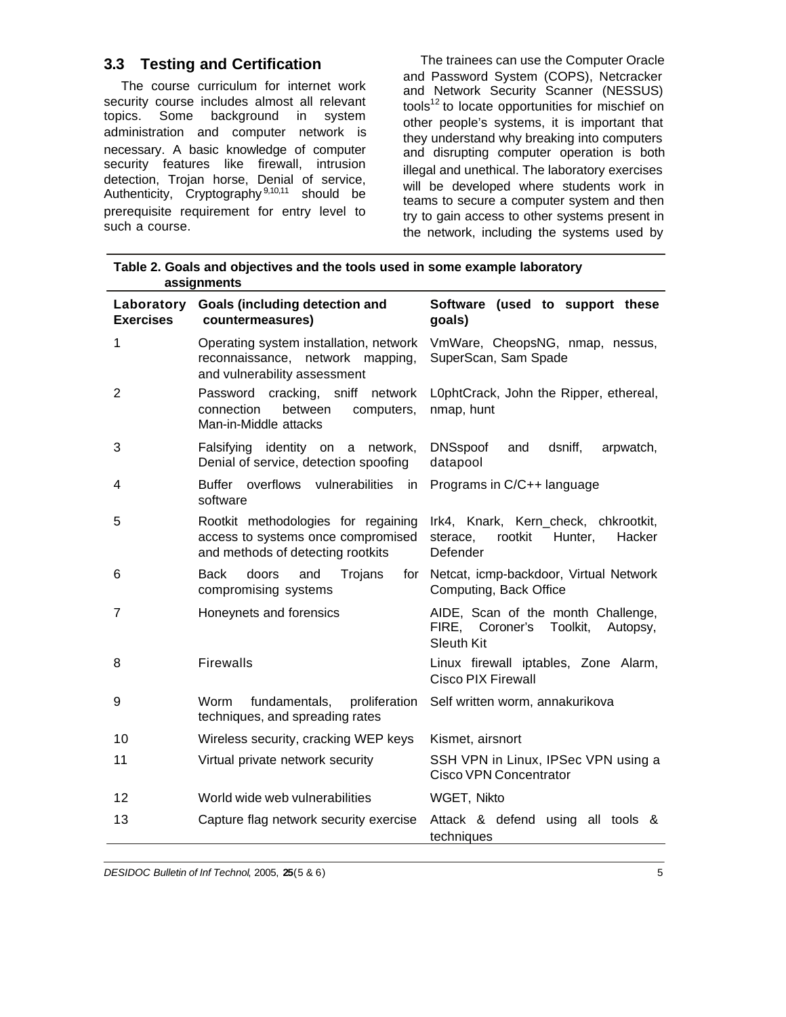## **3.3 Testing and Certification**

The course curriculum for internet work security course includes almost all relevant topics. Some background in system administration and computer network is necessary. A basic knowledge of computer security features like firewall, intrusion detection, Trojan horse, Denial of service, Authenticity, Cryptography<sup>9,10,11</sup> should be prerequisite requirement for entry level to such a course.

The trainees can use the Computer Oracle and Password System (COPS), Netcracker and Network Security Scanner (NESSUS) tools<sup>12</sup> to locate opportunities for mischief on other people's systems, it is important that they understand why breaking into computers and disrupting computer operation is both illegal and unethical. The laboratory exercises will be developed where students work in teams to secure a computer system and then try to gain access to other systems present in the network, including the systems used by

**Table 2. Goals and objectives and the tools used in some example laboratory assignments**

| Laboratory<br><b>Exercises</b> | <b>Goals (including detection and</b><br>countermeasures)                                                      | Software (used to support these<br>goals)                                                          |  |
|--------------------------------|----------------------------------------------------------------------------------------------------------------|----------------------------------------------------------------------------------------------------|--|
| 1                              | Operating system installation, network<br>reconnaissance, network mapping,<br>and vulnerability assessment     | VmWare, CheopsNG, nmap, nessus,<br>SuperScan, Sam Spade                                            |  |
| $\overline{2}$                 | cracking, sniff network<br>Password<br>connection<br>between<br>computers,<br>Man-in-Middle attacks            | L0phtCrack, John the Ripper, ethereal,<br>nmap, hunt                                               |  |
| 3                              | Falsifying identity on a network,<br>Denial of service, detection spoofing                                     | <b>DNSspoof</b><br>dsniff,<br>arpwatch,<br>and<br>datapool                                         |  |
| 4                              | Buffer overflows vulnerabilities in<br>software                                                                | Programs in C/C++ language                                                                         |  |
| 5                              | Rootkit methodologies for regaining<br>access to systems once compromised<br>and methods of detecting rootkits | Irk4, Knark, Kern_check, chkrootkit,<br>rootkit<br>sterace,<br>Hunter,<br>Hacker<br>Defender       |  |
| 6                              | Trojans<br><b>Back</b><br>doors<br>and<br>compromising systems                                                 | for Netcat, icmp-backdoor, Virtual Network<br>Computing, Back Office                               |  |
| $\overline{7}$                 | Honeynets and forensics                                                                                        | AIDE, Scan of the month Challenge,<br>FIRE, Coroner's<br>Toolkit,<br>Autopsy,<br><b>Sleuth Kit</b> |  |
| 8                              | <b>Firewalls</b>                                                                                               | Linux firewall iptables, Zone Alarm,<br><b>Cisco PIX Firewall</b>                                  |  |
| 9                              | fundamentals,<br>proliferation<br>Worm<br>techniques, and spreading rates                                      | Self written worm, annakurikova                                                                    |  |
| 10                             | Wireless security, cracking WEP keys                                                                           | Kismet, airsnort                                                                                   |  |
| 11                             | Virtual private network security                                                                               | SSH VPN in Linux, IPSec VPN using a<br>Cisco VPN Concentrator                                      |  |
| 12                             | World wide web vulnerabilities                                                                                 | WGET, Nikto                                                                                        |  |
| 13                             | Capture flag network security exercise                                                                         | Attack & defend using all tools &<br>techniques                                                    |  |

*DESIDOC Bulletin of Inf Technol*, 2005, **25**(5 & 6) 5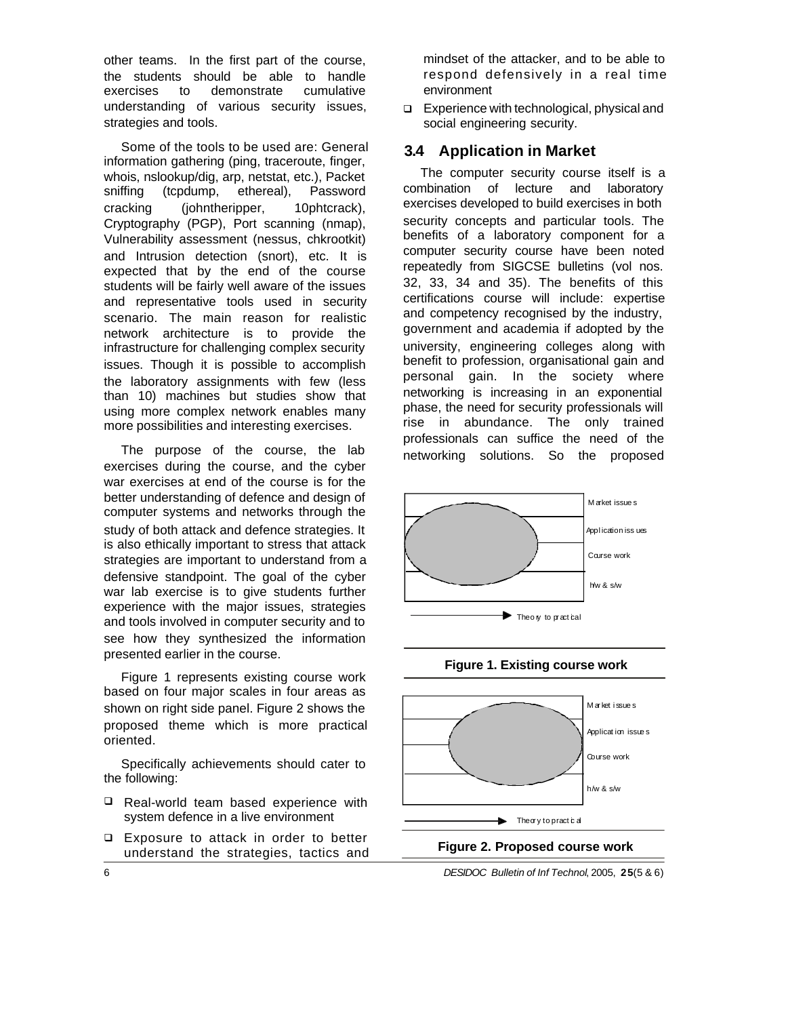other teams. In the first part of the course, the students should be able to handle exercises to demonstrate cumulative understanding of various security issues, strategies and tools.

Some of the tools to be used are: General information gathering (ping, traceroute, finger, whois, nslookup/dig, arp, netstat, etc.), Packet sniffing (tcpdump, ethereal), Password cracking (johntheripper, 10phtcrack), Cryptography (PGP), Port scanning (nmap), Vulnerability assessment (nessus, chkrootkit) and Intrusion detection (snort), etc. It is expected that by the end of the course students will be fairly well aware of the issues and representative tools used in security scenario. The main reason for realistic network architecture is to provide the infrastructure for challenging complex security issues. Though it is possible to accomplish the laboratory assignments with few (less than 10) machines but studies show that using more complex network enables many more possibilities and interesting exercises.

The purpose of the course, the lab exercises during the course, and the cyber war exercises at end of the course is for the better understanding of defence and design of computer systems and networks through the study of both attack and defence strategies. It is also ethically important to stress that attack strategies are important to understand from a defensive standpoint. The goal of the cyber war lab exercise is to give students further experience with the major issues, strategies and tools involved in computer security and to see how they synthesized the information presented earlier in the course.

Figure 1 represents existing course work based on four major scales in four areas as shown on right side panel. Figure 2 shows the proposed theme which is more practical oriented.

Specifically achievements should cater to the following:

- $\Box$  Real-world team based experience with system defence in a live environment
- $\Box$  Exposure to attack in order to better understand the strategies, tactics and

mindset of the attacker, and to be able to respond defensively in a real time environment

□ Experience with technological, physical and social engineering security.

#### **3.4 Application in Market**

The computer security course itself is a combination of lecture and laboratory exercises developed to build exercises in both security concepts and particular tools. The benefits of a laboratory component for a computer security course have been noted repeatedly from SIGCSE bulletins (vol nos. 32, 33, 34 and 35). The benefits of this certifications course will include: expertise and competency recognised by the industry, government and academia if adopted by the university, engineering colleges along with benefit to profession, organisational gain and personal gain. In the society where networking is increasing in an exponential phase, the need for security professionals will rise in abundance. The only trained professionals can suffice the need of the networking solutions. So the proposed





6 *DESIDOC Bulletin of Inf Technol*, 2005, **25**(5 & 6)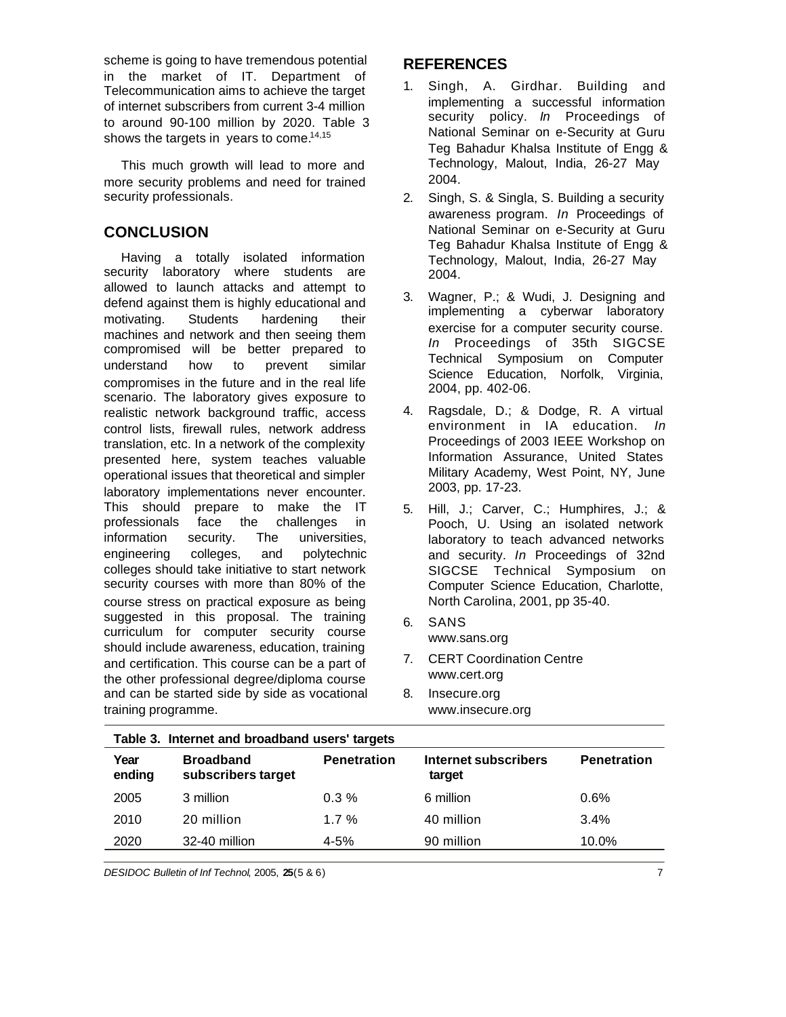scheme is going to have tremendous potential in the market of IT. Department of Telecommunication aims to achieve the target of internet subscribers from current 3-4 million to around 90-100 million by 2020. Table 3 shows the targets in years to come. $14,15$ 

This much growth will lead to more and more security problems and need for trained security professionals.

## **CONCLUSION**

Having a totally isolated information security laboratory where students are allowed to launch attacks and attempt to defend against them is highly educational and motivating. Students hardening their machines and network and then seeing them compromised will be better prepared to understand how to prevent similar compromises in the future and in the real life scenario. The laboratory gives exposure to realistic network background traffic, access control lists, firewall rules, network address translation, etc. In a network of the complexity presented here, system teaches valuable operational issues that theoretical and simpler laboratory implementations never encounter. This should prepare to make the IT professionals face the challenges in information security. The universities, engineering colleges, and polytechnic colleges should take initiative to start network security courses with more than 80% of the course stress on practical exposure as being suggested in this proposal. The training curriculum for computer security course should include awareness, education, training and certification. This course can be a part of the other professional degree/diploma course and can be started side by side as vocational training programme.

# **REFERENCES**

- 1. Singh, A. Girdhar. Building and implementing a successful information security policy. *In* Proceedings of National Seminar on e-Security at Guru Teg Bahadur Khalsa Institute of Engg & Technology, Malout, India, 26-27 May 2004.
- 2. Singh, S. & Singla, S. Building a security awareness program. *In* Proceedings of National Seminar on e-Security at Guru Teg Bahadur Khalsa Institute of Engg & Technology, Malout, India, 26-27 May 2004.
- 3. Wagner, P.; & Wudi, J. Designing and implementing a cyberwar laboratory exercise for a computer security course. *In* Proceedings of 35th SIGCSE Technical Symposium on Computer Science Education, Norfolk, Virginia, 2004, pp. 402-06.
- 4. Ragsdale, D.; & Dodge, R. A virtual environment in IA education. *In* Proceedings of 2003 IEEE Workshop on Information Assurance, United States Military Academy, West Point, NY, June 2003, pp. 17-23.
- 5. Hill, J.; Carver, C.; Humphires, J.; & Pooch, U. Using an isolated network laboratory to teach advanced networks and security. *In* Proceedings of 32nd SIGCSE Technical Symposium on Computer Science Education, Charlotte, North Carolina, 2001, pp 35-40.
- 6. SANS www.sans.org
- 7. CERT Coordination Centre www.cert.org
- 8. Insecure.org www.insecure.org

| Table 3. Internet and broadband users' targets |                                        |                    |                                |                    |  |
|------------------------------------------------|----------------------------------------|--------------------|--------------------------------|--------------------|--|
| Year<br>ending                                 | <b>Broadband</b><br>subscribers target | <b>Penetration</b> | Internet subscribers<br>target | <b>Penetration</b> |  |
| 2005                                           | 3 million                              | $0.3\%$            | 6 million                      | 0.6%               |  |
| 2010                                           | 20 million                             | $1.7\%$            | 40 million                     | 3.4%               |  |
| 2020                                           | 32-40 million                          | $4 - 5%$           | 90 million                     | 10.0%              |  |

*DESIDOC Bulletin of Inf Technol*, 2005, **25**(5 & 6) 7